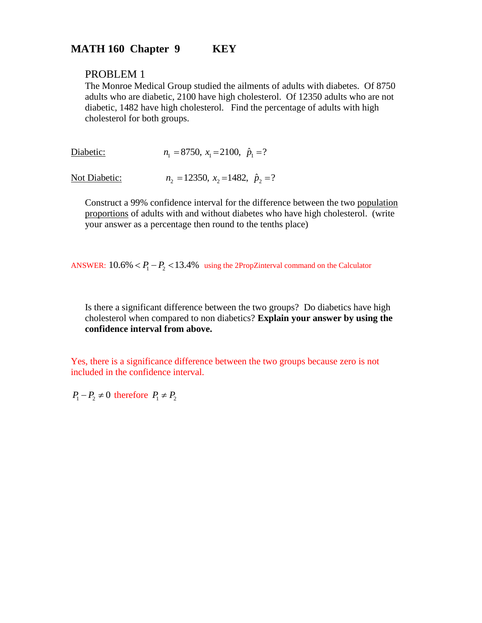# **MATH 160 Chapter 9 KEY**

## PROBLEM 1

The Monroe Medical Group studied the ailments of adults with diabetes. Of 8750 adults who are diabetic, 2100 have high cholesterol. Of 12350 adults who are not diabetic, 1482 have high cholesterol. Find the percentage of adults with high cholesterol for both groups.

| Diabetic: | $n_1 = 8750$ , $x_1 = 2100$ , $\hat{p}_1 = ?$ |
|-----------|-----------------------------------------------|

Not Diabetic:  $n_2 = 12350$ ,  $x_2 = 1482$ ,  $\hat{p}_2 = ?$ 

Construct a 99% confidence interval for the difference between the two population proportions of adults with and without diabetes who have high cholesterol. (write your answer as a percentage then round to the tenths place)

ANSWER:  $10.6\% < P_1 - P_2 < 13.4\%$  using the 2PropZinterval command on the Calculator

Is there a significant difference between the two groups? Do diabetics have high cholesterol when compared to non diabetics? **Explain your answer by using the confidence interval from above.** 

Yes, there is a significance difference between the two groups because zero is not included in the confidence interval.

 $P_1 - P_2 \neq 0$  therefore  $P_1 \neq P_2$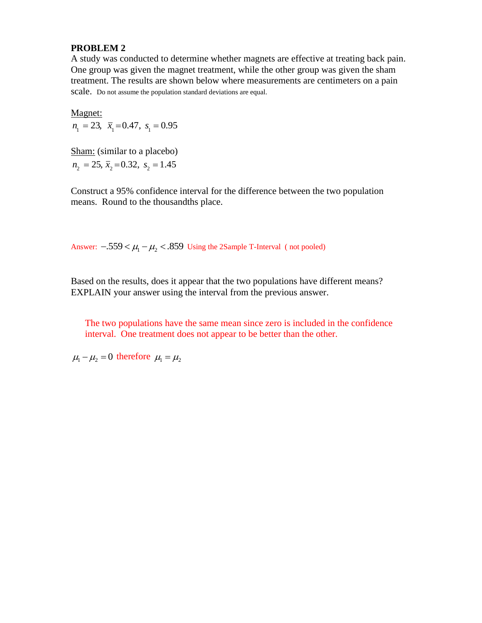A study was conducted to determine whether magnets are effective at treating back pain. One group was given the magnet treatment, while the other group was given the sham treatment. The results are shown below where measurements are centimeters on a pain scale. Do not assume the population standard deviations are equal.

Magnet:  $n_1 = 23$ ,  $\bar{x}_1 = 0.47$ ,  $s_1 = 0.95$ 

Sham: (similar to a placebo)  $n_2 = 25$ ,  $\bar{x}_2 = 0.32$ ,  $s_2 = 1.45$ 

Construct a 95% confidence interval for the difference between the two population means. Round to the thousandths place.

Answer:  $-0.559 < \mu_1 - \mu_2 < 0.859$  Using the 2Sample T-Interval (not pooled)

Based on the results, does it appear that the two populations have different means? EXPLAIN your answer using the interval from the previous answer.

The two populations have the same mean since zero is included in the confidence interval. One treatment does not appear to be better than the other.

 $\mu_1 - \mu_2 = 0$  therefore  $\mu_1 = \mu_2$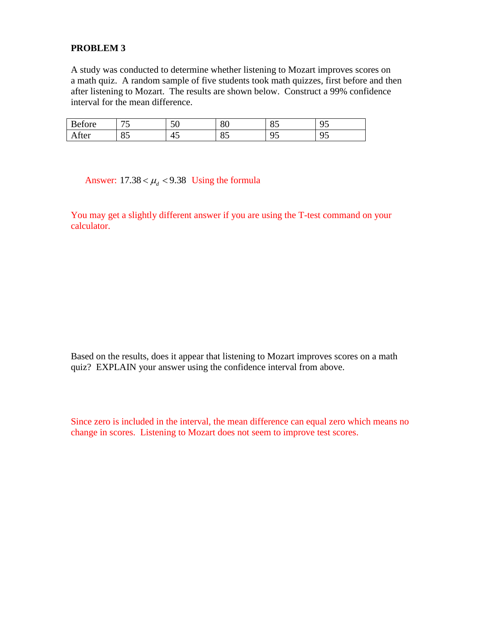A study was conducted to determine whether listening to Mozart improves scores on a math quiz. A random sample of five students took math quizzes, first before and then after listening to Mozart. The results are shown below. Construct a 99% confidence interval for the mean difference.

| $\overline{\phantom{a}}$<br>etore | $\overline{\phantom{0}}$ | $\epsilon$<br>◡ | $\Omega$<br>ου | $\sim$ $\sim$<br>ິ        | $\sim$ $\sim$<br>u |
|-----------------------------------|--------------------------|-----------------|----------------|---------------------------|--------------------|
| Atter                             | $\Omega$<br>OJ.          | Λ<br>4 L<br>≖◡  | OE<br>↗<br>◡   | $\sim$ $\sim$<br>ີ<br>ر . | ⌒ 冖<br>u           |

Answer:  $17.38 < \mu_d < 9.38$  Using the formula

You may get a slightly different answer if you are using the T-test command on your calculator.

Based on the results, does it appear that listening to Mozart improves scores on a math quiz? EXPLAIN your answer using the confidence interval from above.

Since zero is included in the interval, the mean difference can equal zero which means no change in scores. Listening to Mozart does not seem to improve test scores.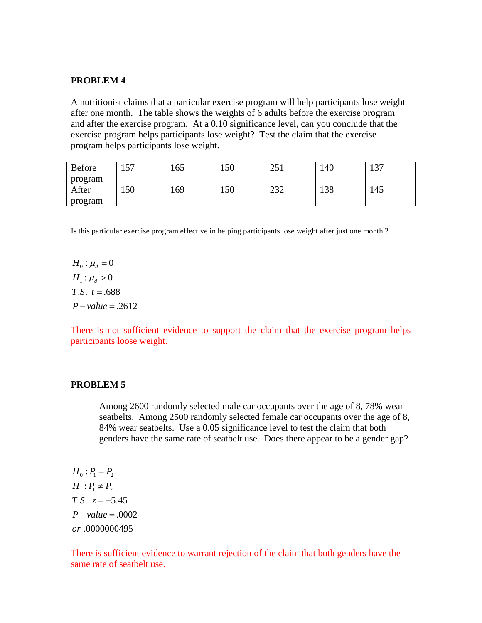A nutritionist claims that a particular exercise program will help participants lose weight after one month. The table shows the weights of 6 adults before the exercise program and after the exercise program. At a 0.10 significance level, can you conclude that the exercise program helps participants lose weight? Test the claim that the exercise program helps participants lose weight.

| Before  | 57<br>1 J I | 165 | 150 | 251<br>$\omega$ j | 140 | 137 |
|---------|-------------|-----|-----|-------------------|-----|-----|
| program |             |     |     |                   |     |     |
| After   | 150         | 169 | 150 | າາາ<br>ے ت        | 138 | 145 |
| program |             |     |     |                   |     |     |

Is this particular exercise program effective in helping participants lose weight after just one month ?

 $H_0: \mu_d = 0$  $H_1$  :  $\mu_d > 0$  $T.S. t = .688$  $P-value = .2612$ 

There is not sufficient evidence to support the claim that the exercise program helps participants loose weight.

#### **PROBLEM 5**

Among 2600 randomly selected male car occupants over the age of 8, 78% wear seatbelts. Among 2500 randomly selected female car occupants over the age of 8, 84% wear seatbelts. Use a 0.05 significance level to test the claim that both genders have the same rate of seatbelt use. Does there appear to be a gender gap?

 $H_0: P_1 = P_2$  $H_1: P_1 \neq P_2$ *T.S.*  $z = -5.45$  $P-value = .0002$ .0000000495 *or*

There is sufficient evidence to warrant rejection of the claim that both genders have the same rate of seatbelt use.